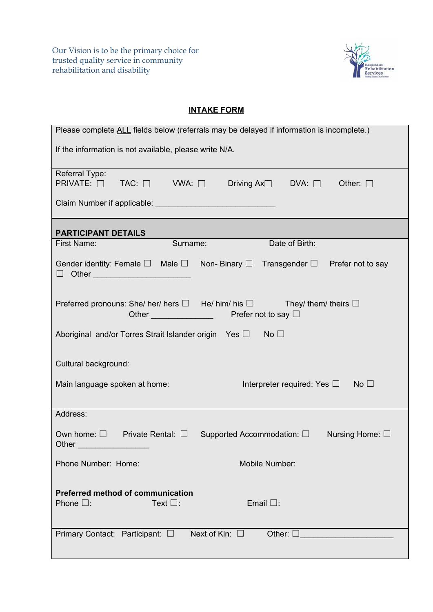Our Vision is to be the primary choice for trusted quality service in community rehabilitation and disability



## **INTAKE FORM**

| Please complete ALL fields below (referrals may be delayed if information is incomplete.)                                                                   |  |  |  |  |  |
|-------------------------------------------------------------------------------------------------------------------------------------------------------------|--|--|--|--|--|
| If the information is not available, please write N/A.                                                                                                      |  |  |  |  |  |
| Referral Type:<br>PRIVATE: □ TAC: □ VWA: □ Driving Ax□ DVA: □ Other: □                                                                                      |  |  |  |  |  |
|                                                                                                                                                             |  |  |  |  |  |
| <b>PARTICIPANT DETAILS</b>                                                                                                                                  |  |  |  |  |  |
| Surname:<br>Date of Birth:<br>First Name:                                                                                                                   |  |  |  |  |  |
| Gender identity: Female $\square$ Male $\square$ Non- Binary $\square$ Transgender $\square$ Prefer not to say<br>$\Box$ Other _________________________    |  |  |  |  |  |
| Preferred pronouns: She/ her/ hers $\Box$ He/ him/ his $\Box$ They/ them/ theirs $\Box$<br>Other <u>Contains and the series</u><br>Prefer not to say $\Box$ |  |  |  |  |  |
| Aboriginal and/or Torres Strait Islander origin Yes □ No □                                                                                                  |  |  |  |  |  |
| Cultural background:                                                                                                                                        |  |  |  |  |  |
| Main language spoken at home:<br>Interpreter required: Yes $\square$ No $\square$                                                                           |  |  |  |  |  |
| Address:                                                                                                                                                    |  |  |  |  |  |
| Own home: $\square$ Private Rental: $\square$ Supported Accommodation: $\square$<br>Nursing Home: $\square$<br>Other_                                       |  |  |  |  |  |
| Phone Number: Home:<br>Mobile Number:                                                                                                                       |  |  |  |  |  |
| <b>Preferred method of communication</b><br>Text $\square$ :<br>Phone $\square$ :<br>Email $\square$ :                                                      |  |  |  |  |  |
| Next of Kin: $\square$<br>Primary Contact: Participant: □<br>Other: $\square$                                                                               |  |  |  |  |  |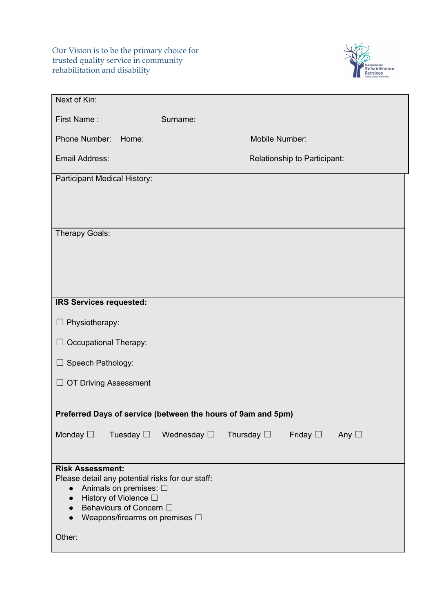Our Vision is to be the primary choice for trusted quality service in community rehabilitation and disability



| Next of Kin:                                                                            |                                |  |  |  |
|-----------------------------------------------------------------------------------------|--------------------------------|--|--|--|
| First Name:<br>Surname:                                                                 |                                |  |  |  |
| Phone Number:<br>Mobile Number:<br>Home:                                                |                                |  |  |  |
| Email Address:<br>Relationship to Participant:                                          |                                |  |  |  |
| Participant Medical History:                                                            |                                |  |  |  |
|                                                                                         |                                |  |  |  |
|                                                                                         |                                |  |  |  |
| Therapy Goals:                                                                          |                                |  |  |  |
|                                                                                         |                                |  |  |  |
|                                                                                         |                                |  |  |  |
|                                                                                         |                                |  |  |  |
| IRS Services requested:                                                                 |                                |  |  |  |
| $\Box$ Physiotherapy:                                                                   |                                |  |  |  |
| $\Box$ Occupational Therapy:                                                            |                                |  |  |  |
| $\Box$ Speech Pathology:                                                                |                                |  |  |  |
| $\Box$ OT Driving Assessment                                                            |                                |  |  |  |
|                                                                                         |                                |  |  |  |
| Preferred Days of service (between the hours of 9am and 5pm)                            |                                |  |  |  |
| Monday $\square$<br>Tuesday $\Box$ Wednesday $\Box$ Thursday $\Box$                     | Friday $\square$ Any $\square$ |  |  |  |
|                                                                                         |                                |  |  |  |
| <b>Risk Assessment:</b>                                                                 |                                |  |  |  |
| Please detail any potential risks for our staff:<br>Animals on premises: □<br>$\bullet$ |                                |  |  |  |
| History of Violence □<br>$\bullet$<br>Behaviours of Concern □                           |                                |  |  |  |
| Weapons/firearms on premises $\Box$<br>$\bullet$                                        |                                |  |  |  |
| Other:                                                                                  |                                |  |  |  |